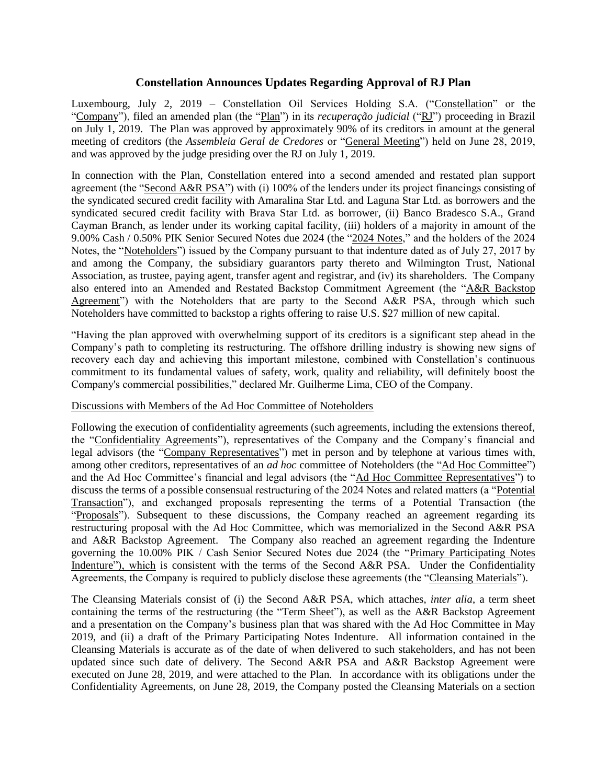# **Constellation Announces Updates Regarding Approval of RJ Plan**

Luxembourg, July 2, 2019 – Constellation Oil Services Holding S.A. ("Constellation" or the "Company"), filed an amended plan (the "Plan") in its *recuperação judicial* ("RJ") proceeding in Brazil on July 1, 2019. The Plan was approved by approximately 90% of its creditors in amount at the general meeting of creditors (the *Assembleia Geral de Credores* or "General Meeting") held on June 28, 2019, and was approved by the judge presiding over the RJ on July 1, 2019.

In connection with the Plan, Constellation entered into a second amended and restated plan support agreement (the "Second A&R PSA") with (i) 100% of the lenders under its project financings consisting of the syndicated secured credit facility with Amaralina Star Ltd. and Laguna Star Ltd. as borrowers and the syndicated secured credit facility with Brava Star Ltd. as borrower, (ii) Banco Bradesco S.A., Grand Cayman Branch, as lender under its working capital facility, (iii) holders of a majority in amount of the 9.00% Cash / 0.50% PIK Senior Secured Notes due 2024 (the "2024 Notes," and the holders of the 2024 Notes, the "Noteholders") issued by the Company pursuant to that indenture dated as of July 27, 2017 by and among the Company, the subsidiary guarantors party thereto and Wilmington Trust, National Association, as trustee, paying agent, transfer agent and registrar, and (iv) its shareholders. The Company also entered into an Amended and Restated Backstop Commitment Agreement (the "A&R Backstop Agreement") with the Noteholders that are party to the Second A&R PSA, through which such Noteholders have committed to backstop a rights offering to raise U.S. \$27 million of new capital.

"Having the plan approved with overwhelming support of its creditors is a significant step ahead in the Company's path to completing its restructuring. The offshore drilling industry is showing new signs of recovery each day and achieving this important milestone, combined with Constellation's continuous commitment to its fundamental values of safety, work, quality and reliability, will definitely boost the Company's commercial possibilities," declared Mr. Guilherme Lima, CEO of the Company.

#### Discussions with Members of the Ad Hoc Committee of Noteholders

Following the execution of confidentiality agreements (such agreements, including the extensions thereof, the "Confidentiality Agreements"), representatives of the Company and the Company's financial and legal advisors (the "Company Representatives") met in person and by telephone at various times with, among other creditors, representatives of an *ad hoc* committee of Noteholders (the "Ad Hoc Committee") and the Ad Hoc Committee's financial and legal advisors (the "Ad Hoc Committee Representatives") to discuss the terms of a possible consensual restructuring of the 2024 Notes and related matters (a "Potential Transaction"), and exchanged proposals representing the terms of a Potential Transaction (the "Proposals"). Subsequent to these discussions, the Company reached an agreement regarding its restructuring proposal with the Ad Hoc Committee, which was memorialized in the Second A&R PSA and A&R Backstop Agreement. The Company also reached an agreement regarding the Indenture governing the 10.00% PIK / Cash Senior Secured Notes due 2024 (the "Primary Participating Notes Indenture"), which is consistent with the terms of the Second A&R PSA. Under the Confidentiality Agreements, the Company is required to publicly disclose these agreements (the "Cleansing Materials").

The Cleansing Materials consist of (i) the Second A&R PSA, which attaches, *inter alia*, a term sheet containing the terms of the restructuring (the "Term Sheet"), as well as the A&R Backstop Agreement and a presentation on the Company's business plan that was shared with the Ad Hoc Committee in May 2019, and (ii) a draft of the Primary Participating Notes Indenture. All information contained in the Cleansing Materials is accurate as of the date of when delivered to such stakeholders, and has not been updated since such date of delivery. The Second A&R PSA and A&R Backstop Agreement were executed on June 28, 2019, and were attached to the Plan. In accordance with its obligations under the Confidentiality Agreements, on June 28, 2019, the Company posted the Cleansing Materials on a section